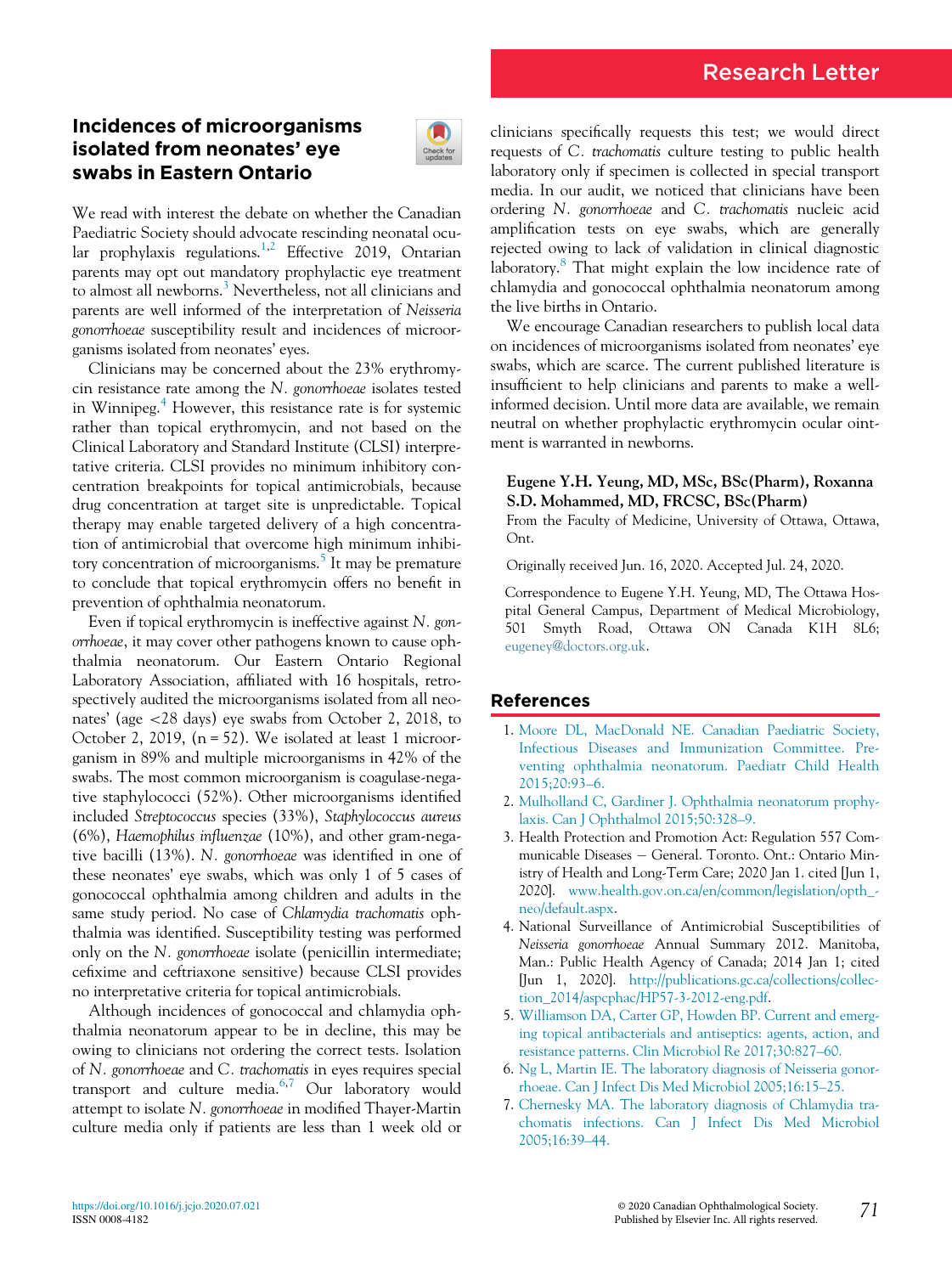# Research Letter

## Incidences of microorganisms isolated from neonates' eye swabs in Eastern Ontario



We read with interest the debate on whether the Canadian Paediatric Society should advocate rescinding neonatal ocu-lar prophylaxis regulations.<sup>[1,](#page-0-0)[2](#page-0-1)</sup> Effective 2019, Ontarian parents may opt out mandatory prophylactic eye treatment to almost all newborns.<sup>[3](#page-0-2)</sup> Nevertheless, not all clinicians and parents are well informed of the interpretation of Neisseria gonorrhoeae susceptibility result and incidences of microorganisms isolated from neonates' eyes.

Clinicians may be concerned about the 23% erythromycin resistance rate among the N. gonorrhoeae isolates tested in Winnipeg.<sup>[4](#page-0-3)</sup> However, this resistance rate is for systemic rather than topical erythromycin, and not based on the Clinical Laboratory and Standard Institute (CLSI) interpretative criteria. CLSI provides no minimum inhibitory concentration breakpoints for topical antimicrobials, because drug concentration at target site is unpredictable. Topical therapy may enable targeted delivery of a high concentration of antimicrobial that overcome high minimum inhibi-tory concentration of microorganisms.<sup>[5](#page-0-4)</sup> It may be premature to conclude that topical erythromycin offers no benefit in prevention of ophthalmia neonatorum.

<span id="page-0-1"></span><span id="page-0-0"></span>Even if topical erythromycin is ineffective against N. gonorrhoeae, it may cover other pathogens known to cause ophthalmia neonatorum. Our Eastern Ontario Regional Laboratory Association, affiliated with 16 hospitals, retrospectively audited the microorganisms isolated from all neonates' (age <28 days) eye swabs from October 2, 2018, to October 2, 2019, (n = 52). We isolated at least 1 microorganism in 89% and multiple microorganisms in 42% of the swabs. The most common microorganism is coagulase-negative staphylococci (52%). Other microorganisms identified included Streptococcus species (33%), Staphylococcus aureus (6%), Haemophilus influenzae (10%), and other gram-negative bacilli (13%). N. gonorrhoeae was identified in one of these neonates' eye swabs, which was only 1 of 5 cases of gonococcal ophthalmia among children and adults in the same study period. No case of Chlamydia trachomatis ophthalmia was identified. Susceptibility testing was performed only on the N. gonorrhoeae isolate (penicillin intermediate; cefixime and ceftriaxone sensitive) because CLSI provides no interpretative criteria for topical antimicrobials.

<span id="page-0-6"></span><span id="page-0-5"></span><span id="page-0-4"></span><span id="page-0-3"></span><span id="page-0-2"></span>Although incidences of gonococcal and chlamydia ophthalmia neonatorum appear to be in decline, this may be owing to clinicians not ordering the correct tests. Isolation of N. gonorrhoeae and C. trachomatis in eyes requires special transport and culture media.<sup>[6](#page-0-5)[,7](#page-0-6)</sup> Our laboratory would attempt to isolate N. gonorrhoeae in modified Thayer-Martin culture media only if patients are less than 1 week old or clinicians specifically requests this test; we would direct requests of C. trachomatis culture testing to public health laboratory only if specimen is collected in special transport media. In our audit, we noticed that clinicians have been ordering N. gonorrhoeae and C. trachomatis nucleic acid amplification tests on eye swabs, which are generally rejected owing to lack of validation in clinical diagnostic laboratory. $8$  That might explain the low incidence rate of chlamydia and gonococcal ophthalmia neonatorum among the live births in Ontario.

We encourage Canadian researchers to publish local data on incidences of microorganisms isolated from neonates' eye swabs, which are scarce. The current published literature is insufficient to help clinicians and parents to make a wellinformed decision. Until more data are available, we remain neutral on whether prophylactic erythromycin ocular ointment is warranted in newborns.

#### Eugene Y.H. Yeung, MD, MSc, BSc(Pharm), Roxanna S.D. Mohammed, MD, FRCSC, BSc(Pharm)

From the Faculty of Medicine, University of Ottawa, Ottawa, Ont.

Originally received Jun. 16, 2020. Accepted Jul. 24, 2020.

Correspondence to Eugene Y.H. Yeung, MD, The Ottawa Hospital General Campus, Department of Medical Microbiology, 501 Smyth Road, Ottawa ON Canada K1H 8L6; [eugeney@doctors.org.uk.](mailto:eugeney@doctors.org.uk)

### References

- 1. [Moore DL, MacDonald NE. Canadian Paediatric Society,](http://refhub.elsevier.com/S0008-4182(20)30707-9/sbref0001) [Infectious Diseases and Immunization Committee. Pre](http://refhub.elsevier.com/S0008-4182(20)30707-9/sbref0001)[venting ophthalmia neonatorum. Paediatr Child Health](http://refhub.elsevier.com/S0008-4182(20)30707-9/sbref0001) [2015;20:93](http://refhub.elsevier.com/S0008-4182(20)30707-9/sbref0001)–6.
- 2. [Mulholland C, Gardiner J. Ophthalmia neonatorum prophy](http://refhub.elsevier.com/S0008-4182(20)30707-9/sbref0002)[laxis. Can J Ophthalmol 2015;50:328](http://refhub.elsevier.com/S0008-4182(20)30707-9/sbref0002)–9.
- 3. Health Protection and Promotion Act: Regulation 557 Communicable Diseases - General. Toronto. Ont.: Ontario Ministry of Health and Long-Term Care; 2020 Jan 1. cited [Jun 1, 2020]. [www.health.gov.on.ca/en/common/legislation/opth\\_](http://www.health.gov.on.ca/en/common/legislation/opth_neo/default.aspx) [neo/default.aspx](http://www.health.gov.on.ca/en/common/legislation/opth_neo/default.aspx).
- 4. National Surveillance of Antimicrobial Susceptibilities of Neisseria gonorrhoeae Annual Summary 2012. Manitoba, Man.: Public Health Agency of Canada; 2014 Jan 1; cited [Jun 1, 2020]. [http://publications.gc.ca/collections/collec](http://publications.gc.ca/collections/collection_2014/aspcphac/HP57-3-2012-eng.pdf)[tion\\_2014/aspcphac/HP57-3-2012-eng.pdf.](http://publications.gc.ca/collections/collection_2014/aspcphac/HP57-3-2012-eng.pdf)
- 5. [Williamson DA, Carter GP, Howden BP. Current and emerg](http://refhub.elsevier.com/S0008-4182(20)30707-9/sbref0005)[ing topical antibacterials and antiseptics: agents, action, and](http://refhub.elsevier.com/S0008-4182(20)30707-9/sbref0005) [resistance patterns. Clin Microbiol Re 2017;30:827](http://refhub.elsevier.com/S0008-4182(20)30707-9/sbref0005)–60.
- 6. [Ng L, Martin IE. The laboratory diagnosis of Neisseria gonor](http://refhub.elsevier.com/S0008-4182(20)30707-9/sbref0006)[rhoeae. Can J Infect Dis Med Microbiol 2005;16:15](http://refhub.elsevier.com/S0008-4182(20)30707-9/sbref0006)–25.
- 7. [Chernesky MA. The laboratory diagnosis of Chlamydia tra](http://refhub.elsevier.com/S0008-4182(20)30707-9/sbref0007)[chomatis infections. Can J Infect Dis Med Microbiol](http://refhub.elsevier.com/S0008-4182(20)30707-9/sbref0007) [2005;16:39](http://refhub.elsevier.com/S0008-4182(20)30707-9/sbref0007)–44.